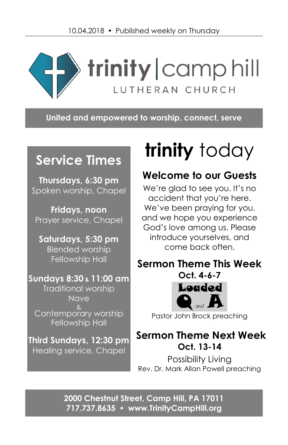

**United and empowered to worship, connect, serve**

# **Service Times**

**Thursdays, 6:30 pm** Spoken worship, Chapel

**Fridays, noon** Prayer service, Chapel

**Saturdays, 5:30 pm** Blended worship Fellowship Hall

## **Sundays 8:30 & 11:00 am** Traditional worship Nave & Contemporary worship Fellowship Hall

**Third Sundays, 12:30 pm** Healing service, Chapel

# **trinity** today

## **Welcome to our Guests**

We're glad to see you. It's no accident that you're here. We've been praying for you, and we hope you experience God's love among us. Please introduce yourselves, and come back often.

## **Sermon Theme This Week**



Pastor John Brock preaching

## **Sermon Theme Next Week Oct. 13-14**

Possibility Living Rev. Dr. Mark Allan Powell preaching

**2000 Chestnut Street, Camp Hill, PA 17011 717.737.8635 [www.TrinityCampHill.org](http://www.trinitycamphill.org/)**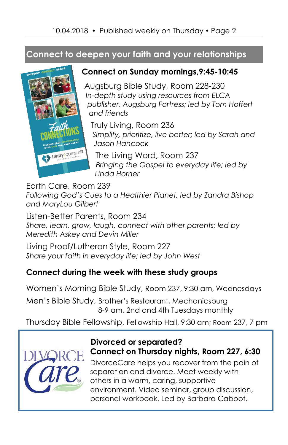## **Connect to deepen your faith and your relationships**



#### **Connect on Sunday mornings,9:45-10:45**

Augsburg Bible Study, Room 228-230 *In-depth study using resources from ELCA publisher, Augsburg Fortress; led by Tom Hoffert and friends*

Truly Living, Room 236 *Simplify, prioritize, live better; led by Sarah and Jason Hancock*

The Living Word, Room 237 *Bringing the Gospel to everyday life; led by Linda Horner*

Earth Care, Room 239

*Following God's Cues to a Healthier Planet, led by Zandra Bishop and MaryLou Gilbert*

Listen-Better Parents, Room 234 *Share, learn, grow, laugh, connect with other parents; led by Meredith Askey and Devin Miller*

Living Proof/Lutheran Style, Room 227 *Share your faith in everyday life; led by John West*

#### **Connect during the week with these study groups**

Women's Morning Bible Study, Room 237, 9:30 am, Wednesdays

Men's Bible Study, Brother's Restaurant, Mechanicsburg 8-9 am, 2nd and 4th Tuesdays monthly

Thursday Bible Fellowship, Fellowship Hall, 9:30 am; Room 237, 7 pm



#### **Divorced or separated? Connect on Thursday nights, Room 227, 6:30**

DivorceCare helps you recover from the pain of separation and divorce. Meet weekly with others in a warm, caring, supportive environment. Video seminar, group discussion, personal workbook. Led by Barbara Caboot.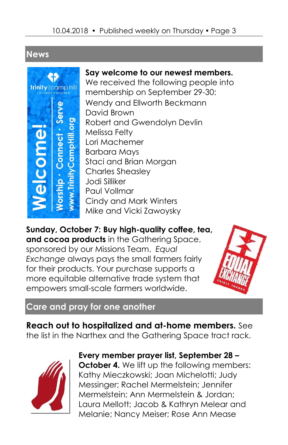## **News**



**Say welcome to our newest members.** We received the following people into membership on September 29-30: Wendy and Ellworth Beckmann David Brown Robert and Gwendolyn Devlin Melissa Felty Lori Machemer Barbara Mays Staci and Brian Morgan Charles Sheasley Jodi Silliker Paul Vollmar Cindy and Mark Winters Mike and Vicki Zawoysky

**Sunday, October 7: Buy high-quality coffee, tea, and cocoa products** in the Gathering Space, sponsored by our Missions Team. *Equal Exchange* always pays the small farmers fairly for their products. Your purchase supports a more equitable alternative trade system that empowers small-scale farmers worldwide.



#### **Care and pray for one another**

**Reach out to hospitalized and at-home members.** See the list in the Narthex and the Gathering Space tract rack.



**Every member prayer list, September 28 – October 4.** We lift up the following members: Kathy Mieczkowski; Joan Michelotti; Judy Messinger; Rachel Mermelstein; Jennifer Mermelstein; Ann Mermelstein & Jordan; Laura Mellott; Jacob & Kathryn Melear and Melanie; Nancy Meiser; Rose Ann Mease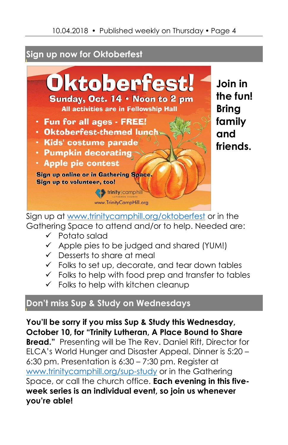## **Sign up now for Oktoberfest**



**Join in the fun! Bring family and friends.**

Sign up at [www.trinitycamphill.org/oktoberfest](http://www.trinitycamphill.org/oktoberfest) or in the Gathering Space to attend and/or to help. Needed are:

- ✓ Potato salad
- ✓ Apple pies to be judged and shared (YUM!)
- ✓ Desserts to share at meal
- ✓ Folks to set up, decorate, and tear down tables
- ✓ Folks to help with food prep and transfer to tables
- $\checkmark$  Folks to help with kitchen cleanup

## **Don't miss Sup & Study on Wednesdays**

**You'll be sorry if you miss Sup & Study this Wednesday, October 10, for "Trinity Lutheran, A Place Bound to Share Bread."** Presenting will be The Rev. Daniel Rift, Director for ELCA's World Hunger and Disaster Appeal. Dinner is 5:20 – 6:30 pm. Presentation is 6:30 – 7:30 pm. Register at [www.trinitycamphill.org/sup-study](http://www.trinitycamphill.org/sup-study) or in the Gathering Space, or call the church office. **Each evening in this fiveweek series is an individual event, so join us whenever you're able!**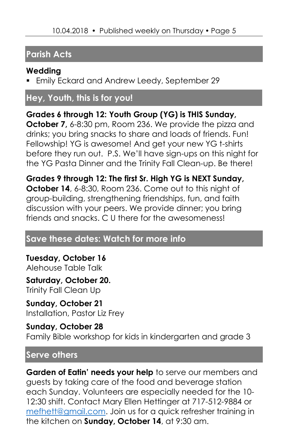## **Parish Acts**

#### **Wedding**

**Emily Eckard and Andrew Leedy, September 29** 

## **Hey, Youth, this is for you!**

**Grades 6 through 12: Youth Group (YG) is THIS Sunday, October 7,** 6-8:30 pm, Room 236. We provide the pizza and drinks; you bring snacks to share and loads of friends. Fun! Fellowship! YG is awesome! And get your new YG t-shirts before they run out. P.S. We'll have sign-ups on this night for the YG Pasta Dinner and the Trinity Fall Clean-up. Be there!

**Grades 9 through 12: The first Sr. High YG is NEXT Sunday, October 14**, 6-8:30, Room 236. Come out to this night of group-building, strengthening friendships, fun, and faith discussion with your peers. We provide dinner; you bring friends and snacks. C U there for the awesomeness!

## **Save these dates: Watch for more info**

**Tuesday, October 16**  Alehouse Table Talk

**Saturday, October 20.** Trinity Fall Clean Up

**Sunday, October 21** Installation, Pastor Liz Frey

#### **Sunday, October 28**

Family Bible workshop for kids in kindergarten and grade 3

#### **Serve others**

**Garden of Eatin' needs your help** to serve our members and guests by taking care of the food and beverage station each Sunday. Volunteers are especially needed for the 10- 12:30 shift. Contact Mary Ellen Hettinger at 717-512-9884 or [mefhett@gmail.com.](mailto:mefhett@gmail.com) Join us for a quick refresher training in the kitchen on **Sunday, October 14**, at 9:30 am.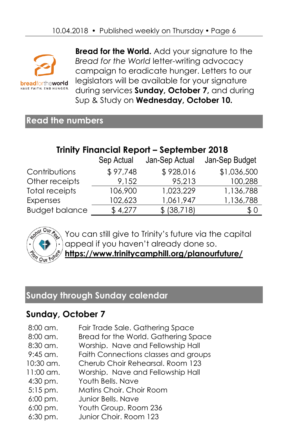

**Bread for the World.** Add your signature to the *Bread for the World* letter-writing advocacy campaign to eradicate hunger. Letters to our legislators will be available for your signature during services **Sunday, October 7,** and during Sup & Study on **Wednesday, October 10.**

### **Read the numbers**

## **Trinity Financial Report – September 2018**

|                       | Sep Actual | Jan-Sep Actual | Jan-Sep Budget |
|-----------------------|------------|----------------|----------------|
| Contributions         | \$97,748   | \$928,016      | \$1,036,500    |
| Other receipts        | 9.152      | 95,213         | 100,288        |
| <b>Total receipts</b> | 106,900    | 1,023,229      | 1,136,788      |
| Expenses              | 102,623    | 1,061,947      | 1,136,788      |
| <b>Budget balance</b> | \$4,277    | \$ (38,718)    | \$0            |



You can still give to Trinity's future via the capital appeal if you haven't already done so. **<https://www.trinitycamphill.org/planourfuture/>**

## **Sunday through Sunday calendar**

## **Sunday, October 7**

| $8:00$ am.  | Fair Trade Sale. Gathering Space     |
|-------------|--------------------------------------|
| 8:00 am.    | Bread for the World. Gathering Space |
| 8:30 am.    | Worship. Nave and Fellowship Hall    |
| $9:45$ am.  | Faith Connections classes and groups |
| $10:30$ am. | Cherub Choir Rehearsal, Room 123     |
| $11:00$ am. | Worship. Nave and Fellowship Hall    |
| $4:30$ pm.  | Youth Bells, Nave                    |
| $5:15$ pm.  | Matins Choir. Choir Room             |
| $6:00$ pm.  | Junior Bells. Nave                   |
| $6:00$ pm.  | Youth Group. Room 236                |
| $6:30$ pm.  | Junior Choir. Room 123               |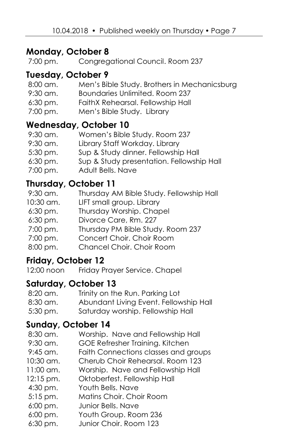#### **Monday, October 8**

7:00 pm. Congregational Council. Room 237

#### **Tuesday, October 9**

| 8:00 am.   | Men's Bible Study. Brothers in Mechanicsburg |
|------------|----------------------------------------------|
| $9:30$ am. | Boundaries Unlimited, Room 237               |
| $6:30$ pm. | FaithX Rehearsal. Fellowship Hall            |
| 7:00 pm.   | Men's Bible Study. Library                   |

#### **Wednesday, October 10**

| Women's Bible Study. Room 237             |
|-------------------------------------------|
| Library Staff Workday. Library            |
| Sup & Study dinner. Fellowship Hall       |
| Sup & Study presentation. Fellowship Hall |
| Adult Bells. Nave                         |
|                                           |

#### **Thursday, October 11**

| 9:30 am.   | Thursday AM Bible Study. Fellowship Hall |
|------------|------------------------------------------|
| 10:30 am.  | LIFT small group. Library                |
| $6:30$ pm. | Thursday Worship. Chapel                 |
| $6:30$ pm. | Divorce Care, Rm. 227                    |
| 7:00 pm.   | Thursday PM Bible Study. Room 237        |
| 7:00 pm.   | Concert Choir. Choir Room                |
| 8:00 pm.   | Chancel Choir. Choir Room                |
|            |                                          |

#### **Friday, October 12**

12:00 noon Friday Prayer Service. Chapel

#### **Saturday, October 13**

| 8:20 am.   | Trinity on the Run. Parking Lot        |
|------------|----------------------------------------|
| 8:30 am.   | Abundant Living Event. Fellowship Hall |
| $5:30$ pm. | Saturday worship. Fellowship Hall      |

#### **Sunday, October 14**

|                        | Sunday, October 14                   |
|------------------------|--------------------------------------|
| 8:30 am.               | Worship. Nave and Fellowship Hall    |
| $9:30$ am.             | GOE Refresher Training. Kitchen      |
| $9:45$ am.             | Faith Connections classes and groups |
| $10:30$ am.            | Cherub Choir Rehearsal. Room 123     |
| $11:00$ am.            | Worship. Nave and Fellowship Hall    |
| $12:15 \text{ pm}.$    | Oktoberfest. Fellowship Hall         |
| 4:30 pm.               | Youth Bells, Nave                    |
| $5:15$ pm.             | Matins Choir. Choir Room             |
| 6:00 pm.               | Junior Bells, Nave                   |
| $6:00 \,\mathrm{pm}$ . | Youth Group. Room 236                |

6:30 pm. Junior Choir. Room 123